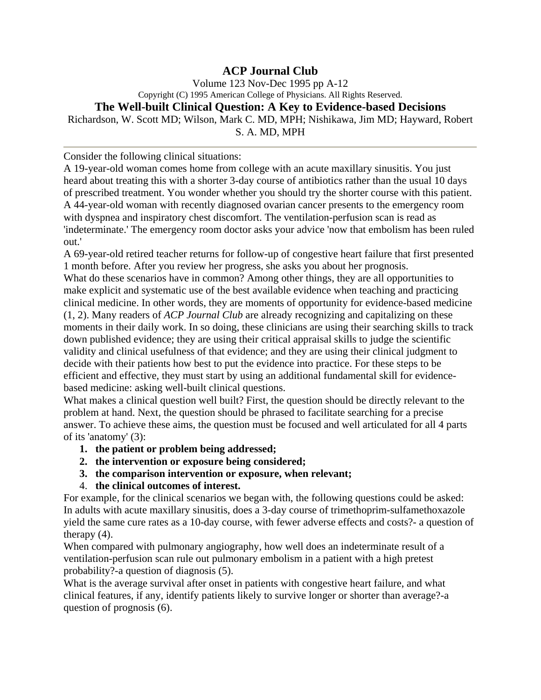## **ACP Journal Club**

Volume 123 Nov-Dec 1995 pp A-12 Copyright (C) 1995 American College of Physicians. All Rights Reserved.

## **The Well-built Clinical Question: A Key to Evidence-based Decisions**

Richardson, W. Scott MD; Wilson, Mark C. MD, MPH; Nishikawa, Jim MD; Hayward, Robert S. A. MD, MPH

Consider the following clinical situations:

A 19-year-old woman comes home from college with an acute maxillary sinusitis. You just heard about treating this with a shorter 3-day course of antibiotics rather than the usual 10 days of prescribed treatment. You wonder whether you should try the shorter course with this patient. A 44-year-old woman with recently diagnosed ovarian cancer presents to the emergency room with dyspnea and inspiratory chest discomfort. The ventilation-perfusion scan is read as 'indeterminate.' The emergency room doctor asks your advice 'now that embolism has been ruled out.'

A 69-year-old retired teacher returns for follow-up of congestive heart failure that first presented 1 month before. After you review her progress, she asks you about her prognosis.

What do these scenarios have in common? Among other things, they are all opportunities to make explicit and systematic use of the best available evidence when teaching and practicing clinical medicine. In other words, they are moments of opportunity for evidence-based medicine (1, 2). Many readers of *ACP Journal Club* are already recognizing and capitalizing on these moments in their daily work. In so doing, these clinicians are using their searching skills to track down published evidence; they are using their critical appraisal skills to judge the scientific validity and clinical usefulness of that evidence; and they are using their clinical judgment to decide with their patients how best to put the evidence into practice. For these steps to be efficient and effective, they must start by using an additional fundamental skill for evidencebased medicine: asking well-built clinical questions.

What makes a clinical question well built? First, the question should be directly relevant to the problem at hand. Next, the question should be phrased to facilitate searching for a precise answer. To achieve these aims, the question must be focused and well articulated for all 4 parts of its 'anatomy' (3):

- **1. the patient or problem being addressed;**
- **2. the intervention or exposure being considered;**
- **3. the comparison intervention or exposure, when relevant;**
- 4. **the clinical outcomes of interest.**

For example, for the clinical scenarios we began with, the following questions could be asked: In adults with acute maxillary sinusitis, does a 3-day course of trimethoprim-sulfamethoxazole yield the same cure rates as a 10-day course, with fewer adverse effects and costs?- a question of therapy (4).

When compared with pulmonary angiography, how well does an indeterminate result of a ventilation-perfusion scan rule out pulmonary embolism in a patient with a high pretest probability?-a question of diagnosis (5).

What is the average survival after onset in patients with congestive heart failure, and what clinical features, if any, identify patients likely to survive longer or shorter than average?-a question of prognosis (6).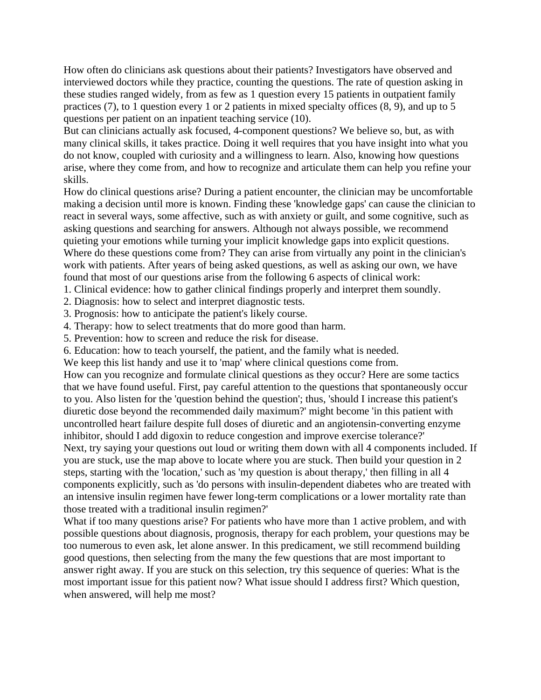How often do clinicians ask questions about their patients? Investigators have observed and interviewed doctors while they practice, counting the questions. The rate of question asking in these studies ranged widely, from as few as 1 question every 15 patients in outpatient family practices (7), to 1 question every 1 or 2 patients in mixed specialty offices (8, 9), and up to 5 questions per patient on an inpatient teaching service (10).

But can clinicians actually ask focused, 4-component questions? We believe so, but, as with many clinical skills, it takes practice. Doing it well requires that you have insight into what you do not know, coupled with curiosity and a willingness to learn. Also, knowing how questions arise, where they come from, and how to recognize and articulate them can help you refine your skills.

How do clinical questions arise? During a patient encounter, the clinician may be uncomfortable making a decision until more is known. Finding these 'knowledge gaps' can cause the clinician to react in several ways, some affective, such as with anxiety or guilt, and some cognitive, such as asking questions and searching for answers. Although not always possible, we recommend quieting your emotions while turning your implicit knowledge gaps into explicit questions. Where do these questions come from? They can arise from virtually any point in the clinician's work with patients. After years of being asked questions, as well as asking our own, we have found that most of our questions arise from the following 6 aspects of clinical work:

1. Clinical evidence: how to gather clinical findings properly and interpret them soundly.

2. Diagnosis: how to select and interpret diagnostic tests.

3. Prognosis: how to anticipate the patient's likely course.

4. Therapy: how to select treatments that do more good than harm.

5. Prevention: how to screen and reduce the risk for disease.

6. Education: how to teach yourself, the patient, and the family what is needed.

We keep this list handy and use it to 'map' where clinical questions come from.

How can you recognize and formulate clinical questions as they occur? Here are some tactics that we have found useful. First, pay careful attention to the questions that spontaneously occur to you. Also listen for the 'question behind the question'; thus, 'should I increase this patient's diuretic dose beyond the recommended daily maximum?' might become 'in this patient with uncontrolled heart failure despite full doses of diuretic and an angiotensin-converting enzyme inhibitor, should I add digoxin to reduce congestion and improve exercise tolerance?' Next, try saying your questions out loud or writing them down with all 4 components included. If you are stuck, use the map above to locate where you are stuck. Then build your question in 2 steps, starting with the 'location,' such as 'my question is about therapy,' then filling in all 4 components explicitly, such as 'do persons with insulin-dependent diabetes who are treated with an intensive insulin regimen have fewer long-term complications or a lower mortality rate than those treated with a traditional insulin regimen?'

What if too many questions arise? For patients who have more than 1 active problem, and with possible questions about diagnosis, prognosis, therapy for each problem, your questions may be too numerous to even ask, let alone answer. In this predicament, we still recommend building good questions, then selecting from the many the few questions that are most important to answer right away. If you are stuck on this selection, try this sequence of queries: What is the most important issue for this patient now? What issue should I address first? Which question, when answered, will help me most?